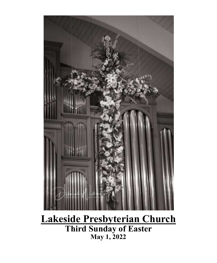

**Lakeside Presbyterian Church Third Sunday of Easter May 1, 2022**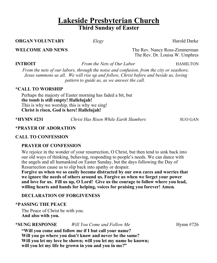## **Lakeside Presbyterian Church Third Sunday of Easter**

**ORGAN VOLUNTARY** *Elegy Harold Darke* 

**WELCOME AND NEWS** The Rev. Nancy Ross-Zimmerman The Rev. Dr. Louisa W. Umphres

**INTROIT** *From the Nets of Our Labor* **HAMILTON** 

*From the nets of our labors, through the noise and confusion, from the city or seashore, Jesus summons us all. We will rise up and follow, Christ before and beside us, loving pattern to guide us, as we answer the call.*

#### **\*CALL TO WORSHIP**

Perhaps the majesty of Easter morning has faded a bit, but **the tomb is still empty! Hallelujah!** This is why we worship, this is why we sing! **Christ is risen, God is here! Hallelujah!**

**\*HYMN #231** *Christ Has Risen While Earth Slumbers* SUO GAN

#### **\*PRAYER OF ADORATION**

#### **CALL TO CONFESSION**

#### **PRAYER OF CONFESSION**

We rejoice in the wonder of your resurrection, O Christ, but then tend to sink back into our old ways of thinking, behaving, responding to people's needs. We can dance with the angels and all humankind on Easter Sunday, but the days following the Day of Resurrection cause us to slip back into apathy or despair.

**Forgive us when we so easily become distracted by our own cares and worries that we ignore the needs of others around us. Forgive us when we forget your power and love for us. Fill us up, O Lord! Give us the courage to follow where you lead, willing hearts and hands for helping, voices for praising you forever! Amen.**

#### **DECLARATION OF FORGIVENESS**

#### **\*PASSING THE PEACE**

The Peace of Christ be with you. **And also with you.**

#### **\*SUNG RESPONSE** *Will You Come and Follow Me Hymn #726*

**"Will you come and follow me if I but call your name? Will you go where you don't know and never be the same? Will you let my love be shown; will you let my name be known; will you let my life be grown in you and you in me?"**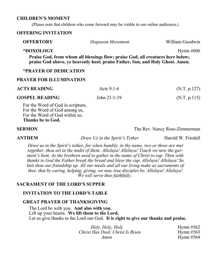#### **CHILDREN'S MOMENT**

(Please note that children who come forward may be visible to our online audiences.)

#### **OFFERING INVITATION**

| <b>OFFERTORY</b>                                                                                     | Diapason Movement                                                                                                                                                | William Goodwin |
|------------------------------------------------------------------------------------------------------|------------------------------------------------------------------------------------------------------------------------------------------------------------------|-----------------|
| *DOXOLOGY                                                                                            |                                                                                                                                                                  | Hymn $\#606$    |
|                                                                                                      | Praise God, from whom all blessings flow; praise God, all creatures here below;<br>praise God above, ye heavenly host; praise Father, Son, and Holy Ghost. Amen. |                 |
| *PRAYER OF DEDICATION                                                                                |                                                                                                                                                                  |                 |
| PRAYER FOR ILLUMINATION                                                                              |                                                                                                                                                                  |                 |
| <b>ACTS READING</b>                                                                                  | Acts $9:1-6$                                                                                                                                                     | (N.T. p.127)    |
| <b>GOSPEL READING</b>                                                                                | John 21:1-19                                                                                                                                                     | (N.T. p.115)    |
| For the Word of God in scripture,<br>For the Word of God among us,<br>For the Word of God within us. |                                                                                                                                                                  |                 |

#### **SERMON** The Rev. Nancy Ross-Zimmerman

**Thanks be to God.**

**ANTHEM** *Draw Us in the Spirit's Tether* Harold W. Friedell

*Draw us in the Spirit's tether, for when humbly, in thy name, two or three are met together, thou art in the midst of them: Alleluya! Alleluya! Touch we now the garment's hem. As the brethren used to gather in the name of Christ to sup. Then with thanks to God the Father break the bread and bless the cup, Alleluya! Alleluya! So knit thou our friendship up. All our meals and all our living make as sacraments of thee, that by caring, helping, giving, we may true disciples be. Alleluya! Alleluya! We will serve thee faithfully.*

#### **SACRAMENT OF THE LORD'S SUPPER**

### **INVITATION TO THE LORD'S TABLE**

#### **GREAT PRAYER OF THANKSGIVING**

The Lord be with you. **And also with you.** Lift up your hearts. **We lift them to the Lord.** Let us give thanks to the Lord our God. **It is right to give our thanks and praise.**

| Holy, Holy, Holy                 | Hymn $#562$ |
|----------------------------------|-------------|
| Christ Has Died; Christ Is Risen | Hymn $#563$ |
| Amen                             | Hymn $#564$ |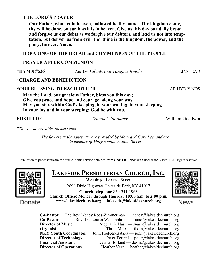#### **THE LORD'S PRAYER**

**Our Father, who art in heaven, hallowed be thy name. Thy kingdom come, thy will be done, on earth as it is in heaven. Give us this day our daily bread and forgive us our debts as we forgive our debtors, and lead us not into temptation, but deliver us from evil. For thine is the kingdom, the power, and the glory, forever. Amen.**

### **BREAKING OF THE BREAD and COMMUNION OF THE PEOPLE**

### **PRAYER AFTER COMMUNION**

| *HYMN #526 | Let Us Talents and Tongues Employ | LINSTEAD |
|------------|-----------------------------------|----------|
|------------|-----------------------------------|----------|

#### **\*CHARGE AND BENEDICTION**

#### **\*OUR BLESSING TO EACH OTHER AR HYD Y NOS**

**May the Lord, our gracious Father, bless you this day; Give you peace and hope and courage, along your way. May you stay within God's keeping, in your waking, in your sleeping. In your joy and in your weeping: God be with you.**

**POSTLUDE** *Trumpet Voluntary* William Goodwin

*\*Those who are able, please stand*

*The flowers in the sanctuary are provided by Mary and Gary Lee and are in memory of Mary's mother, Jane Bickel*

Permission to podcast/stream the music in this service obtained from ONE LICENSE with license #A-715941. All rights reserved.



**Lakeside Presbyterian Church, Inc.** 

**Worship · Learn · Serve** 2690 Dixie Highway, Lakeside Park, KY 41017



News

**Church telephone** 859-341-1963 **Church Office:** Monday through Thursday **10:00 a.m. to 2:00 p.m. www.lakesidechurch.org · lakeside@lakesidechurch.org**

Donate

**Co-Pastor** The Rev. Nancy Ross-Zimmerman — nancy@lakesidechurch.org **Co-Pastor** The Rev. Dr. Louisa W. Umphres — louisa@lakesidechurch.org **Director of Music** Stephanie Nash — snash@lakesidechurch.org **Organist** Thom Miles — thom @lakesidechurch.org **NKY Youth Coordinator** John Hodges-Batzka — john@lakesidechurch.org **Director of Technology** Peter Teremi— peter@lakesidechurch.org **Financial Assistant** Desma Borland — desma@lakesidechurch.org **Director of Operations** Heather Vest — heather@lakesidechurch.org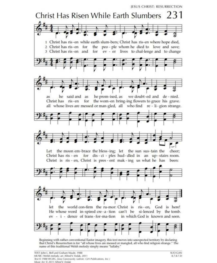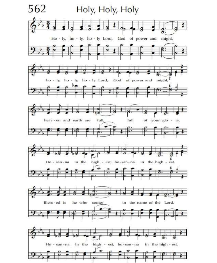